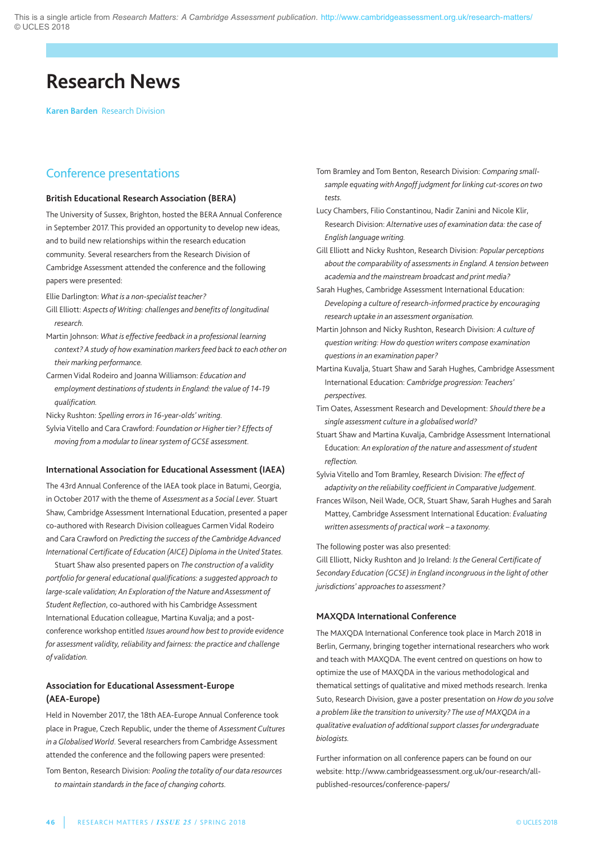# **Research News**

**Karen Barden** Research Division

#### Conference presentations

#### **British Educational Research Association (BERA)**

The University of Sussex, Brighton, hosted the BERA Annual Conference in September 2017. This provided an opportunity to develop new ideas, and to build new relationships within the research education community. Several researchers from the Research Division of Cambridge Assessment attended the conference and the following papers were presented:

Ellie Darlington: *What is a non-specialist teacher?*

- gill Elliott: *Aspects of Writing: challenges and benefits of longitudinal research.*
- Martin Johnson: *What is effective feedback in a professional learning context? A study of how examination markers feed back to each other on their marking performance.*
- Carmen Vidal Rodeiro and Joanna Williamson: *Education and employment destinations of students in England: the value of 14-19 qualification.*
- nicky Rushton: *Spelling errors in 16-year-olds' writing.*
- Sylvia Vitello and Cara Crawford: *Foundation or Higher tier? Effects of moving from a modular to linear system of GCSE assessment.*

#### **International Association for Educational Assessment (IAEA)**

The 43rd Annual Conference of the IAEA took place in Batumi, Georgia, in October 2017 with the theme of *Assessment as a Social Lever.* Stuart Shaw, Cambridge Assessment International Education, presented a paper co-authored with Research Division colleagues Carmen Vidal Rodeiro and Cara Crawford on *Predicting the success of the Cambridge Advanced International Certificate of Education (AICE) Diploma in the United States.*

Stuart Shaw also presented papers on *The construction of a validity portfolio for general educational qualifications: a suggested approach to large-scale validation; An Exploration of the Nature and Assessment of Student Reflection*, co-authored with his Cambridge assessment International Education colleague, Martina Kuvalja; and a postconference workshop entitled *Issues around how best to provide evidence for assessment validity, reliability and fairness: the practice and challenge of validation.*

#### **Association for Educational Assessment-Europe (AEA-Europe)**

Held in November 2017, the 18th AEA-Europe Annual Conference took place in prague, Czech Republic, under the theme of *Assessment Cultures in* a *Globalised* World. Several researchers from Cambridge Assessment attended the conference and the following papers were presented: Tom Benton, Research Division: *Pooling the totality of our data resources to maintain standards in the face of changing cohorts.*

Tom Bramley and Tom Benton, Research Division: *Comparing smallsample equatingwith Angoff judgment for linking cut-scores on two tests.*

Lucy Chambers, Filio Constantinou, Nadir Zanini and Nicole Klir. Research Division: *Alternative uses of examination data: the case of English languagewriting.*

gill Elliott and nicky Rushton, Research Division: *Popular perceptions about the comparability of assessments in England. A tension between academia and the mainstream broadcast and print media?*

Sarah Hughes, Cambridge Assessment International Education: *Developing a culture of research-informed practice by encouraging research uptake in an assessment organisation.*

Martin Johnson and nicky Rushton, Research Division: *A culture of questionwriting: Howdo questionwriters compose examination questions in an examination paper?*

Martina Kuvalja, Stuart Shaw and Sarah Hughes, Cambridge Assessment International Education: *Cambridge progression: Teachers' perspectives.*

Tim Oates, assessment Research and Development: *Should there be a single assessment culture in a globalisedworld?*

Stuart Shaw and Martina Kuvalja, Cambridge Assessment International Education: *An exploration of the nature and assessment of student reflection.*

Sylvia Vitello and Tom Bramley, Research Division: *The effect of adaptivity on the reliability coefficient in Comparative Judgement.*

Frances Wilson, neil Wade, OCR, Stuart Shaw, Sarah Hughes and Sarah Mattey, Cambridge assessment International Education: *Evaluating written assessments of practicalwork – a taxonomy.*

The following poster was also presented:

gill Elliott, nicky Rushton and Jo Ireland: *Isthe General Certificate of Secondary Education (GCSE) in England incongruous in the light of other jurisdictions' approachesto assessment?*

#### **MAXQDA International Conference**

The MaXQDa International Conference took place in March 2018 in Berlin, Germany, bringing together international researchers who work and teach with MaXQDa. The event centred on questions on how to optimize the use of MaXQDa in the various methodological and thematical settings of qualitative and mixed methods research. Irenka Suto, Research Division, gave a poster presentation on *Howdo you solve a problem like the transition to university? The use of MAXQDA in a qualitative evaluation of additional support classes for undergraduate biologists.*

Further information on all conference papers can be found on our website: http://www.cambridgeassessment.org.uk/our-research/allpublished-resources/conference-papers/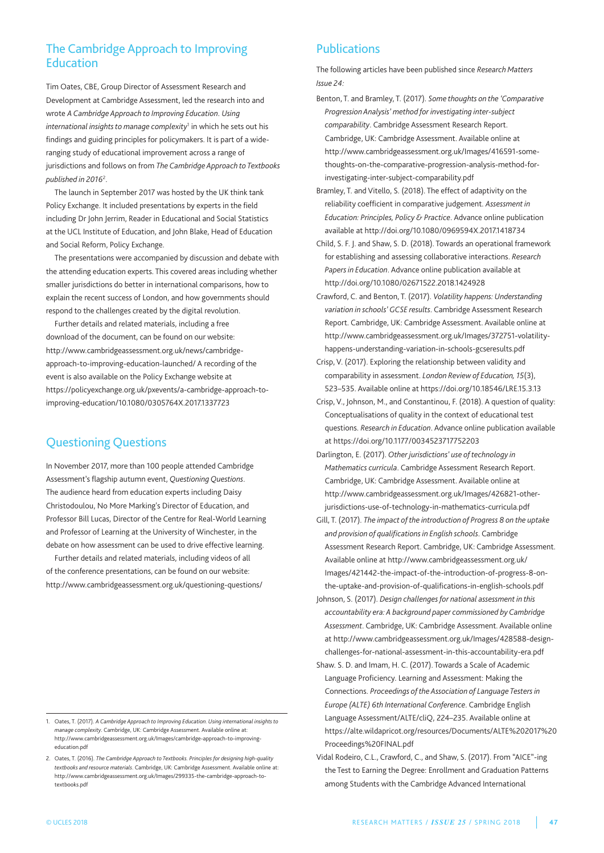### The Cambridge Approach to Improving Education

Tim Oates, CBE, Group Director of Assessment Research and Development at Cambridge Assessment, led the research into and wrote *A Cambridge Approach to Improving Education*. *Using international insights to manage complexity<sup>1</sup> in which he sets out his* findings and guiding principles for policymakers. It is part of a wideranging study of educational improvement across a range of jurisdictions and follows on from *The Cambridge Approach to Textbooks published in 2016*<sup>2</sup> .

The launch in September 2017 was hosted by the UK think tank policy Exchange. It included presentations by experts in the field including Dr John Jerrim, Reader in Educational and Social Statistics at the UCL Institute of Education, and John Blake, Head of Education and Social Reform, policy Exchange.

The presentations were accompanied by discussion and debate with the attending education experts. This covered areas including whether smaller jurisdictions do better in international comparisons, how to explain the recent success of london, and how governments should respond to the challenges created by the digital revolution.

Further details and related materials, including a free download of the document, can be found on our website: http://www.cambridgeassessment.org.uk/news/cambridgeapproach-to-improving-education-launched/ a recording of the event is also available on the policy Exchange website at https://policyexchange.org.uk/pxevents/a-cambridge-approach-toimproving-education/10.1080/0305764X.2017.1337723

## Questioning Questions

In November 2017, more than 100 people attended Cambridge assessment's flagship autumn event, *Questioning Questions*. The audience heard from education experts including Daisy Christodoulou, no More Marking's Director of Education, and professor Bill lucas, Director of the Centre for Real-World learning and Professor of Learning at the University of Winchester, in the debate on how assessment can be used to drive effective learning.

Further details and related materials, including videos of all of the conference presentations, can be found on our website: http://www.cambridgeassessment.org.uk/questioning-questions/

### **Publications**

The following articles have been published since *Research Matters Issue 24:*

- Benton, T. and Bramley, T. (2017). *Some thoughts on the 'Comparative Progression Analysis' method for investigating inter-subject comparability*. Cambridge assessment Research Report. Cambridge, UK: Cambridge Assessment. Available online at http://www.cambridgeassessment.org.uk/Images/416591-somethoughts-on-the-comparative-progression-analysis-method-forinvestigating-inter-subject-comparability.pdf
- Bramley, T. and Vitello, S. (2018). The effect of adaptivity on the reliability coefficient in comparative judgement. *Assessment in Education: Principles, Policy & Practice*. advance online publication available at http://doi.org/10.1080/0969594X.2017.1418734
- Child, S. F. J. and Shaw, S. D. (2018). Towards an operational framework for establishing and assessing collaborative interactions. *Research Papers in Education*. advance online publication available at http://doi.org/10.1080/02671522.2018.1424928
- Crawford, C. and Benton, T. (2017). *Volatility happens: Understanding variation in schools' GCSE results*. Cambridge assessment Research Report. Cambridge, UK: Cambridge Assessment. Available online at http://www.cambridgeassessment.org.uk/Images/372751-volatilityhappens-understanding-variation-in-schools-gcseresults.pdf
- Crisp, V. (2017). Exploring the relationship between validity and comparability in assessment. *London Reviewof Education, 15*(3), 523–535. available online at https://doi.org/10.18546/lRE.15.3.13
- Crisp, V., Johnson, M., and Constantinou, F. (2018). a question of quality: Conceptualisations of quality in the context of educational test questions. *Research in Education*. advance online publication available at https://doi.org/10.1177/0034523717752203
- Darlington, E. (2017). *Other jurisdictions' use of technology in Mathematics curricula*. Cambridge assessment Research Report. Cambridge, uK: Cambridge assessment. available online at http://www.cambridgeassessment.org.uk/Images/426821-otherjurisdictions-use-of-technology-in-mathematics-curricula.pdf
- gill, T. (2017). *The impact of the introduction of Progress 8 on the uptake and provision of qualifications in English schools*. Cambridge Assessment Research Report. Cambridge, UK: Cambridge Assessment. available online at http://www.cambridgeassessment.org.uk/ Images/421442-the-impact-of-the-introduction-of-progress-8-onthe-uptake-and-provision-of-qualifications-in-english-schools.pdf
- Johnson, S. (2017). *Design challenges for national assessment in this accountability era: A background paper commissioned by Cambridge Assessment*. Cambridge, uK: Cambridge assessment. available online at http://www.cambridgeassessment.org.uk/Images/428588-designchallenges-for-national-assessment-in-this-accountability-era.pdf
- Shaw. S. D. and Imam, H. C. (2017). Towards a Scale of Academic language proficiency. learning and assessment: Making the Connections. *Proceedings of the Association of Language Testers in Europe (ALTE) 6th International Conference*. Cambridge English language assessment/alTE/cliQ, 224–235. available online at https://alte.wildapricot.org/resources/Documents/alTE%202017%20 proceedings%20FInal.pdf
- Vidal Rodeiro, C.l., Crawford, C., and Shaw, S. (2017). From "aICE"-ing the Test to Earning the Degree: Enrollment and Graduation Patterns among Students with the Cambridge advanced International

<sup>1.</sup> Oates, T. (2017). *A Cambridge Approach to Improving Education. Using international insights to manage complexity*. Cambridge, uK: Cambridge assessment. available online at: http://www.cambridgeassessment.org.uk/Images/cambridge-approach-to-improvingeducation.pdf

<sup>2.</sup> Oates, T. (2016). *The Cambridge Approach to Textbooks. Principles for designing high-quality textbooks and resource materials*. Cambridge, uK: Cambridge assessment. available online at: http://www.cambridgeassessment.org.uk/Images/299335-the-cambridge-approach-totextbooks.pdf